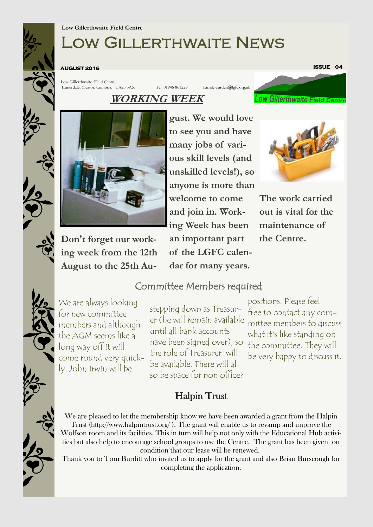# Low Gillerthwaite News

**AUGUST 2016** 

Low Gillerthwaite Field Centre, Ennerdale, Cleator, Cumbria, CA23 3AX Tel: 01946 861229 Email: warden@lgfc.org.uk **ISSUE 04** 

**OW Gillerthwaite Field** 

# **WORKING WEEK**



**Don't forget our working week from the 12th August to the 25th Au-**

**gust. We would love to see you and have many jobs of various skill levels (and unskilled levels!), so anyone is more than welcome to come and join in. Working Week has been an important part of the LGFC calendar for many years.** 



**The work carried out is vital for the maintenance of the Centre.**

We are always looking for new committee members and although the AGM seems like a long way off it will come round very quickly. John Irwin will be

stepping down as Treasurer (he will remain available until all bank accounts have been signed over), so the committee. They will the role of Treasurer will be available. There will also be space for non officer

Committee Members required

positions. Please feel free to contact any committee members to discuss what it's like standing on be very happy to discuss it.

## Halpin Trust

We are pleased to let the membership know we have been awarded a grant from the Halpin Trust (http://www.halpintrust.org/ ). The grant will enable us to revamp and improve the Wolfson room and its facilities. This in turn will help not only with the Educational Hub activities but also help to encourage school groups to use the Centre. The grant has been given on condition that our lease will be renewed.

Thank you to Tom Burditt who invited us to apply for the grant and also Brian Burscough for completing the application.